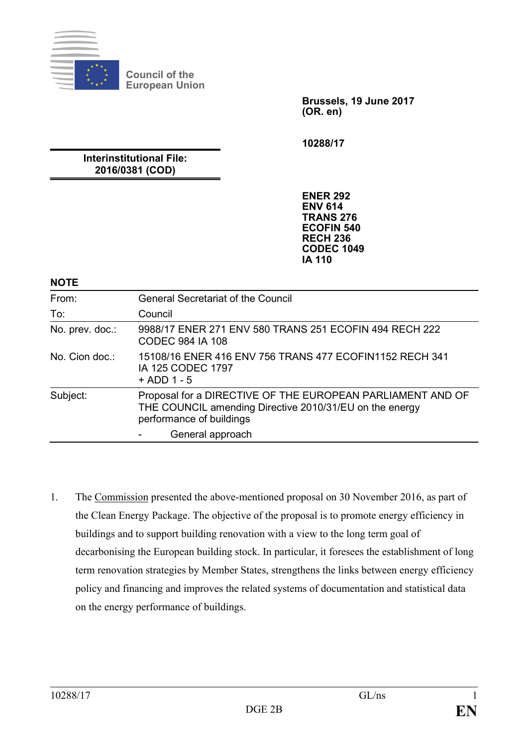

**Council of the European Union**

> **Brussels, 19 June 2017 (OR. en)**

**10288/17**

# **Interinstitutional File: 2016/0381 (COD)**

**ENER 292 ENV 614 TRANS 276 ECOFIN 540 RECH 236 CODEC 1049 IA 110**

### **NOTE**

| From:           | <b>General Secretariat of the Council</b>                                                                                                         |
|-----------------|---------------------------------------------------------------------------------------------------------------------------------------------------|
| To:             | Council                                                                                                                                           |
| No. prev. doc.: | 9988/17 ENER 271 ENV 580 TRANS 251 ECOFIN 494 RECH 222<br><b>CODEC 984 IA 108</b>                                                                 |
| No. Cion doc.:  | 15108/16 ENER 416 ENV 756 TRANS 477 ECOFIN1152 RECH 341<br>IA 125 CODEC 1797<br>$+$ ADD 1 - 5                                                     |
| Subject:        | Proposal for a DIRECTIVE OF THE EUROPEAN PARLIAMENT AND OF<br>THE COUNCIL amending Directive 2010/31/EU on the energy<br>performance of buildings |
|                 | General approach                                                                                                                                  |

1. The Commission presented the above-mentioned proposal on 30 November 2016, as part of the Clean Energy Package. The objective of the proposal is to promote energy efficiency in buildings and to support building renovation with a view to the long term goal of decarbonising the European building stock. In particular, it foresees the establishment of long term renovation strategies by Member States, strengthens the links between energy efficiency policy and financing and improves the related systems of documentation and statistical data on the energy performance of buildings.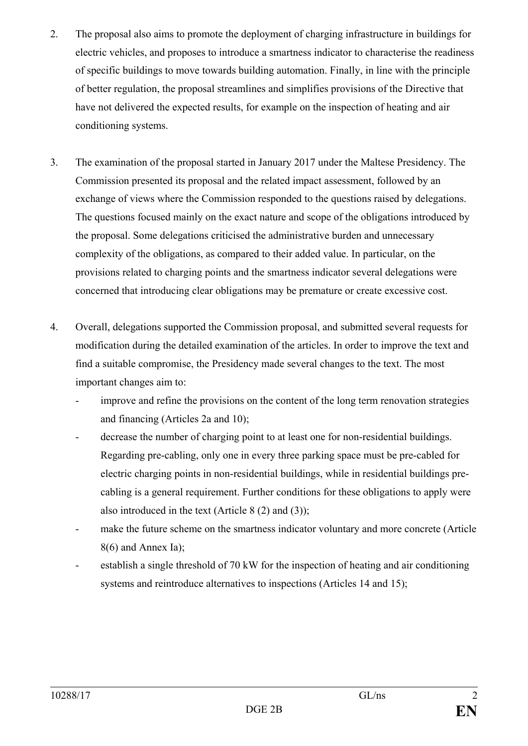- 2. The proposal also aims to promote the deployment of charging infrastructure in buildings for electric vehicles, and proposes to introduce a smartness indicator to characterise the readiness of specific buildings to move towards building automation. Finally, in line with the principle of better regulation, the proposal streamlines and simplifies provisions of the Directive that have not delivered the expected results, for example on the inspection of heating and air conditioning systems.
- 3. The examination of the proposal started in January 2017 under the Maltese Presidency. The Commission presented its proposal and the related impact assessment, followed by an exchange of views where the Commission responded to the questions raised by delegations. The questions focused mainly on the exact nature and scope of the obligations introduced by the proposal. Some delegations criticised the administrative burden and unnecessary complexity of the obligations, as compared to their added value. In particular, on the provisions related to charging points and the smartness indicator several delegations were concerned that introducing clear obligations may be premature or create excessive cost.
- 4. Overall, delegations supported the Commission proposal, and submitted several requests for modification during the detailed examination of the articles. In order to improve the text and find a suitable compromise, the Presidency made several changes to the text. The most important changes aim to:
	- improve and refine the provisions on the content of the long term renovation strategies and financing (Articles 2a and 10);
	- decrease the number of charging point to at least one for non-residential buildings. Regarding pre-cabling, only one in every three parking space must be pre-cabled for electric charging points in non-residential buildings, while in residential buildings precabling is a general requirement. Further conditions for these obligations to apply were also introduced in the text (Article 8 (2) and (3));
	- make the future scheme on the smartness indicator voluntary and more concrete (Article 8(6) and Annex Ia);
	- establish a single threshold of 70 kW for the inspection of heating and air conditioning systems and reintroduce alternatives to inspections (Articles 14 and 15);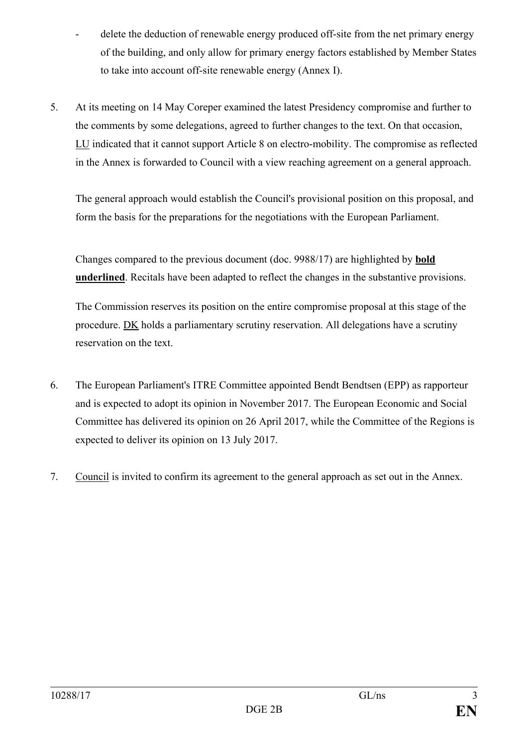- delete the deduction of renewable energy produced off-site from the net primary energy of the building, and only allow for primary energy factors established by Member States to take into account off-site renewable energy (Annex I).
- 5. At its meeting on 14 May Coreper examined the latest Presidency compromise and further to the comments by some delegations, agreed to further changes to the text. On that occasion, LU indicated that it cannot support Article 8 on electro-mobility. The compromise as reflected in the Annex is forwarded to Council with a view reaching agreement on a general approach.

The general approach would establish the Council's provisional position on this proposal, and form the basis for the preparations for the negotiations with the European Parliament.

Changes compared to the previous document (doc. 9988/17) are highlighted by **bold underlined**. Recitals have been adapted to reflect the changes in the substantive provisions.

The Commission reserves its position on the entire compromise proposal at this stage of the procedure. DK holds a parliamentary scrutiny reservation. All delegations have a scrutiny reservation on the text.

- 6. The European Parliament's ITRE Committee appointed Bendt Bendtsen (EPP) as rapporteur and is expected to adopt its opinion in November 2017. The European Economic and Social Committee has delivered its opinion on 26 April 2017, while the Committee of the Regions is expected to deliver its opinion on 13 July 2017.
- 7. Council is invited to confirm its agreement to the general approach as set out in the Annex.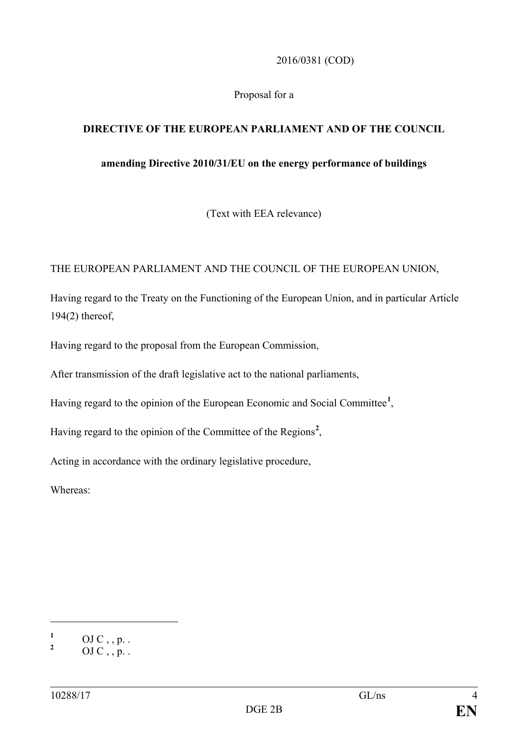### 2016/0381 (COD)

### Proposal for a

# **DIRECTIVE OF THE EUROPEAN PARLIAMENT AND OF THE COUNCIL**

### **amending Directive 2010/31/EU on the energy performance of buildings**

(Text with EEA relevance)

### THE EUROPEAN PARLIAMENT AND THE COUNCIL OF THE EUROPEAN UNION,

Having regard to the Treaty on the Functioning of the European Union, and in particular Article 194(2) thereof,

Having regard to the proposal from the European Commission,

After transmission of the draft legislative act to the national parliaments,

Having regard to the opinion of the European Economic and Social Committee**[1](#page-3-0)** ,

Having regard to the opinion of the Committee of the Regions**[2](#page-3-1)** ,

Acting in accordance with the ordinary legislative procedure,

Whereas:

<span id="page-3-0"></span> $\frac{1}{2}$  OJ C, , p. .

<span id="page-3-1"></span>**<sup>2</sup>** OJ C , , p. .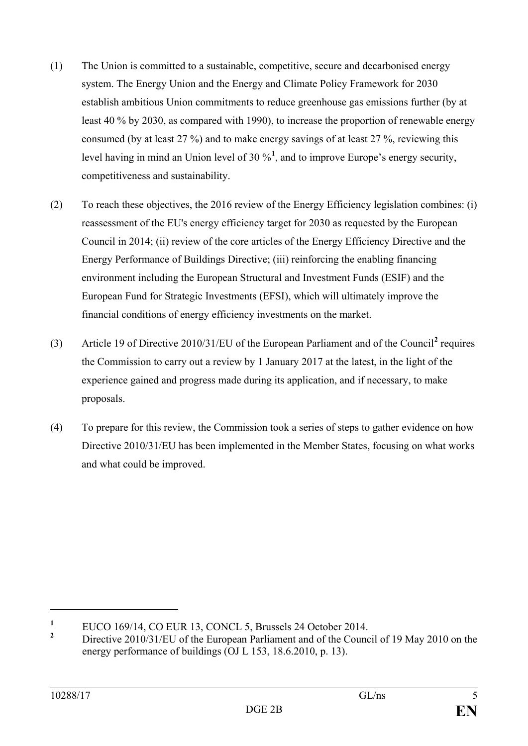- (1) The Union is committed to a sustainable, competitive, secure and decarbonised energy system. The Energy Union and the Energy and Climate Policy Framework for 2030 establish ambitious Union commitments to reduce greenhouse gas emissions further (by at least 40 % by 2030, as compared with 1990), to increase the proportion of renewable energy consumed (by at least 27 %) and to make energy savings of at least 27 %, reviewing this level having in mind an Union level of 30 %**[1](#page-4-0)** , and to improve Europe's energy security, competitiveness and sustainability.
- (2) To reach these objectives, the 2016 review of the Energy Efficiency legislation combines: (i) reassessment of the EU's energy efficiency target for 2030 as requested by the European Council in 2014; (ii) review of the core articles of the Energy Efficiency Directive and the Energy Performance of Buildings Directive; (iii) reinforcing the enabling financing environment including the European Structural and Investment Funds (ESIF) and the European Fund for Strategic Investments (EFSI), which will ultimately improve the financial conditions of energy efficiency investments on the market.
- (3) Article 19 of Directive 2010/31/EU of the European Parliament and of the Council**[2](#page-4-1)** requires the Commission to carry out a review by 1 January 2017 at the latest, in the light of the experience gained and progress made during its application, and if necessary, to make proposals.
- (4) To prepare for this review, the Commission took a series of steps to gather evidence on how Directive 2010/31/EU has been implemented in the Member States, focusing on what works and what could be improved.

<span id="page-4-0"></span><sup>&</sup>lt;sup>1</sup> EUCO 169/14, CO EUR 13, CONCL 5, Brussels 24 October 2014.

<span id="page-4-1"></span>**<sup>2</sup>** Directive 2010/31/EU of the European Parliament and of the Council of 19 May 2010 on the energy performance of buildings (OJ L 153, 18.6.2010, p. 13).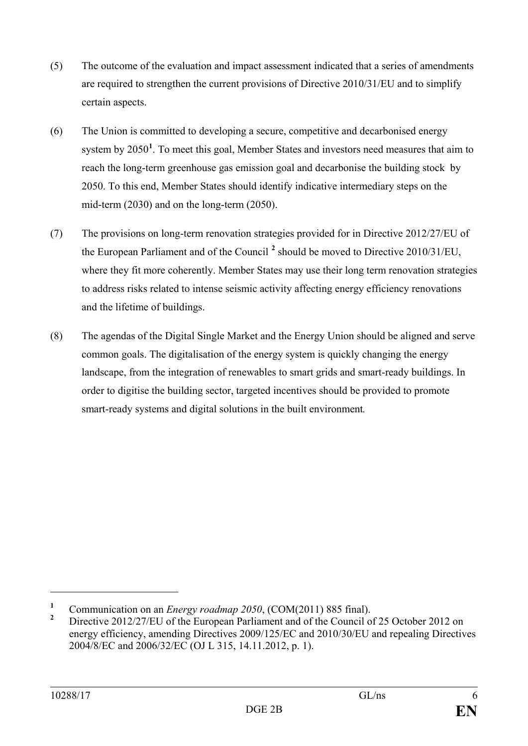- (5) The outcome of the evaluation and impact assessment indicated that a series of amendments are required to strengthen the current provisions of Directive 2010/31/EU and to simplify certain aspects.
- (6) The Union is committed to developing a secure, competitive and decarbonised energy system by 2050<sup>[1](#page-5-0)</sup>. To meet this goal, Member States and investors need measures that aim to reach the long-term greenhouse gas emission goal and decarbonise the building stock by 2050. To this end, Member States should identify indicative intermediary steps on the mid-term (2030) and on the long-term (2050).
- (7) The provisions on long-term renovation strategies provided for in Directive 2012/27/EU of the European Parliament and of the Council **[2](#page-5-1)** should be moved to Directive 2010/31/EU, where they fit more coherently. Member States may use their long term renovation strategies to address risks related to intense seismic activity affecting energy efficiency renovations and the lifetime of buildings.
- (8) The agendas of the Digital Single Market and the Energy Union should be aligned and serve common goals. The digitalisation of the energy system is quickly changing the energy landscape, from the integration of renewables to smart grids and smart-ready buildings. In order to digitise the building sector, targeted incentives should be provided to promote smart-ready systems and digital solutions in the built environment*.*

<span id="page-5-0"></span><sup>&</sup>lt;sup>1</sup> Communication on an *Energy roadmap 2050*, (COM(2011) 885 final).

<span id="page-5-1"></span>**<sup>2</sup>** Directive 2012/27/EU of the European Parliament and of the Council of 25 October 2012 on energy efficiency, amending Directives 2009/125/EC and 2010/30/EU and repealing Directives 2004/8/EC and 2006/32/EC (OJ L 315, 14.11.2012, p. 1).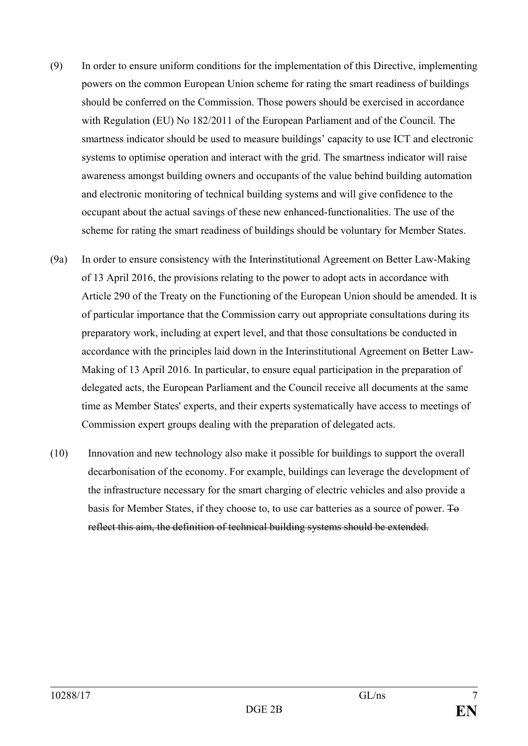- (9) In order to ensure uniform conditions for the implementation of this Directive, implementing powers on the common European Union scheme for rating the smart readiness of buildings should be conferred on the Commission. Those powers should be exercised in accordance with Regulation (EU) No 182/2011 of the European Parliament and of the Council. The smartness indicator should be used to measure buildings' capacity to use ICT and electronic systems to optimise operation and interact with the grid. The smartness indicator will raise awareness amongst building owners and occupants of the value behind building automation and electronic monitoring of technical building systems and will give confidence to the occupant about the actual savings of these new enhanced-functionalities. The use of the scheme for rating the smart readiness of buildings should be voluntary for Member States.
- (9a) In order to ensure consistency with the Interinstitutional Agreement on Better Law-Making of 13 April 2016, the provisions relating to the power to adopt acts in accordance with Article 290 of the Treaty on the Functioning of the European Union should be amended. It is of particular importance that the Commission carry out appropriate consultations during its preparatory work, including at expert level, and that those consultations be conducted in accordance with the principles laid down in the Interinstitutional Agreement on Better Law-Making of 13 April 2016. In particular, to ensure equal participation in the preparation of delegated acts, the European Parliament and the Council receive all documents at the same time as Member States' experts, and their experts systematically have access to meetings of Commission expert groups dealing with the preparation of delegated acts.
- (10) Innovation and new technology also make it possible for buildings to support the overall decarbonisation of the economy. For example, buildings can leverage the development of the infrastructure necessary for the smart charging of electric vehicles and also provide a basis for Member States, if they choose to, to use car batteries as a source of power. To reflect this aim, the definition of technical building systems should be extended.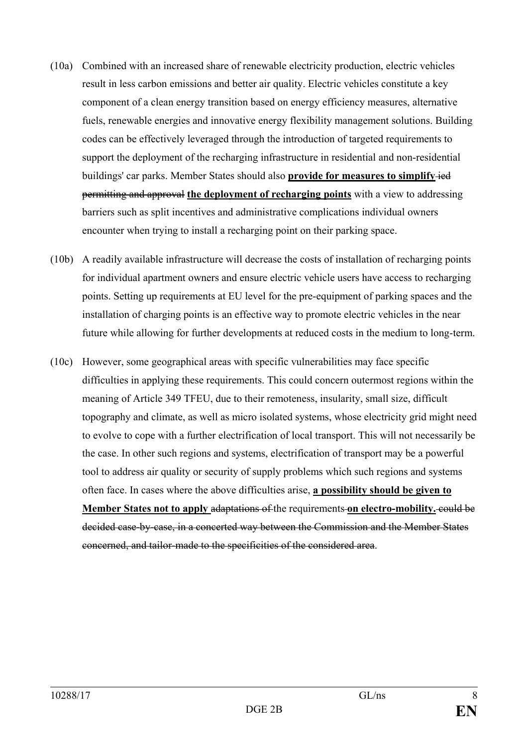- (10a) Combined with an increased share of renewable electricity production, electric vehicles result in less carbon emissions and better air quality. Electric vehicles constitute a key component of a clean energy transition based on energy efficiency measures, alternative fuels, renewable energies and innovative energy flexibility management solutions. Building codes can be effectively leveraged through the introduction of targeted requirements to support the deployment of the recharging infrastructure in residential and non-residential buildings' car parks. Member States should also **provide for measures to simplify** ied permitting and approval **the deployment of recharging points** with a view to addressing barriers such as split incentives and administrative complications individual owners encounter when trying to install a recharging point on their parking space.
- (10b) A readily available infrastructure will decrease the costs of installation of recharging points for individual apartment owners and ensure electric vehicle users have access to recharging points. Setting up requirements at EU level for the pre-equipment of parking spaces and the installation of charging points is an effective way to promote electric vehicles in the near future while allowing for further developments at reduced costs in the medium to long-term.
- (10c) However, some geographical areas with specific vulnerabilities may face specific difficulties in applying these requirements. This could concern outermost regions within the meaning of Article 349 TFEU, due to their remoteness, insularity, small size, difficult topography and climate, as well as micro isolated systems, whose electricity grid might need to evolve to cope with a further electrification of local transport. This will not necessarily be the case. In other such regions and systems, electrification of transport may be a powerful tool to address air quality or security of supply problems which such regions and systems often face. In cases where the above difficulties arise, **a possibility should be given to Member States not to apply adaptations of the requirements on electro-mobility. could be** decided case-by-case, in a concerted way between the Commission and the Member States concerned, and tailor-made to the specificities of the considered area.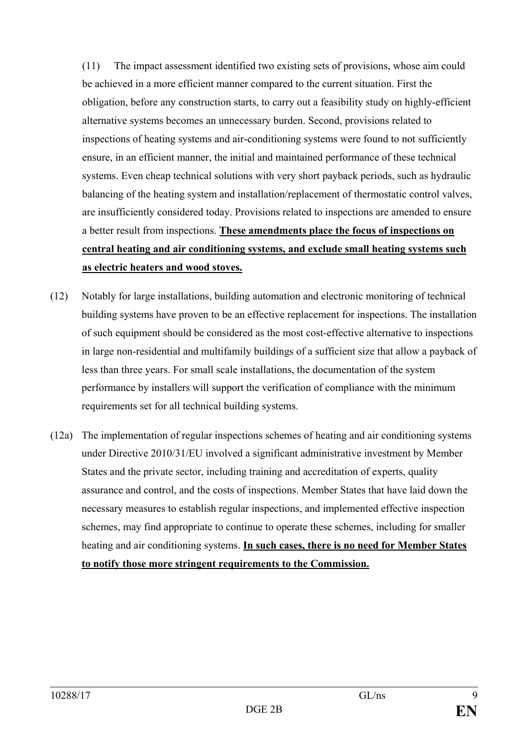(11) The impact assessment identified two existing sets of provisions, whose aim could be achieved in a more efficient manner compared to the current situation. First the obligation, before any construction starts, to carry out a feasibility study on highly-efficient alternative systems becomes an unnecessary burden. Second, provisions related to inspections of heating systems and air-conditioning systems were found to not sufficiently ensure, in an efficient manner, the initial and maintained performance of these technical systems. Even cheap technical solutions with very short payback periods, such as hydraulic balancing of the heating system and installation/replacement of thermostatic control valves, are insufficiently considered today. Provisions related to inspections are amended to ensure a better result from inspections. **These amendments place the focus of inspections on central heating and air conditioning systems, and exclude small heating systems such as electric heaters and wood stoves.** 

- (12) Notably for large installations, building automation and electronic monitoring of technical building systems have proven to be an effective replacement for inspections. The installation of such equipment should be considered as the most cost-effective alternative to inspections in large non-residential and multifamily buildings of a sufficient size that allow a payback of less than three years. For small scale installations, the documentation of the system performance by installers will support the verification of compliance with the minimum requirements set for all technical building systems.
- (12a) The implementation of regular inspections schemes of heating and air conditioning systems under Directive 2010/31/EU involved a significant administrative investment by Member States and the private sector, including training and accreditation of experts, quality assurance and control, and the costs of inspections. Member States that have laid down the necessary measures to establish regular inspections, and implemented effective inspection schemes, may find appropriate to continue to operate these schemes, including for smaller heating and air conditioning systems. **In such cases, there is no need for Member States to notify those more stringent requirements to the Commission.**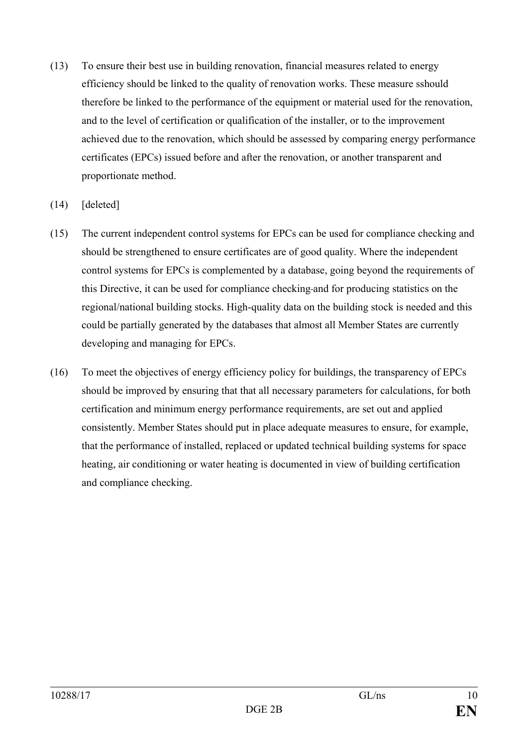- (13) To ensure their best use in building renovation, financial measures related to energy efficiency should be linked to the quality of renovation works. These measure sshould therefore be linked to the performance of the equipment or material used for the renovation, and to the level of certification or qualification of the installer, or to the improvement achieved due to the renovation, which should be assessed by comparing energy performance certificates (EPCs) issued before and after the renovation, or another transparent and proportionate method.
- (14) [deleted]
- (15) The current independent control systems for EPCs can be used for compliance checking and should be strengthened to ensure certificates are of good quality. Where the independent control systems for EPCs is complemented by a database, going beyond the requirements of this Directive, it can be used for compliance checking and for producing statistics on the regional/national building stocks. High-quality data on the building stock is needed and this could be partially generated by the databases that almost all Member States are currently developing and managing for EPCs.
- (16) To meet the objectives of energy efficiency policy for buildings, the transparency of EPCs should be improved by ensuring that that all necessary parameters for calculations, for both certification and minimum energy performance requirements, are set out and applied consistently. Member States should put in place adequate measures to ensure, for example, that the performance of installed, replaced or updated technical building systems for space heating, air conditioning or water heating is documented in view of building certification and compliance checking.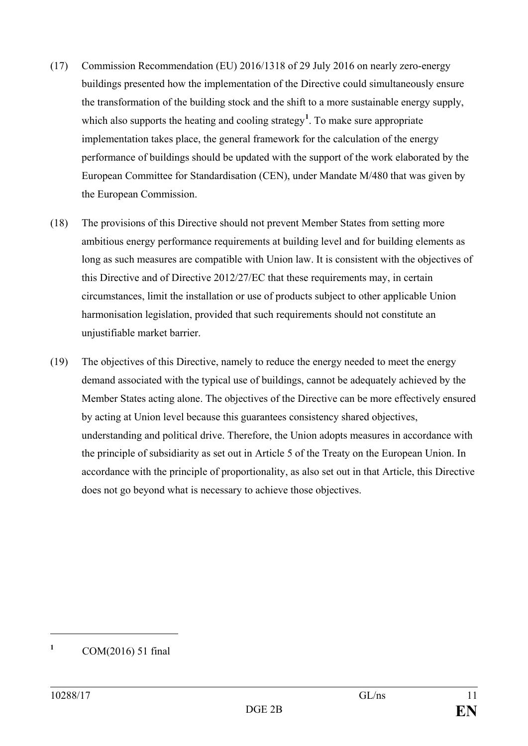- (17) Commission Recommendation (EU) 2016/1318 of 29 July 2016 on nearly zero-energy buildings presented how the implementation of the Directive could simultaneously ensure the transformation of the building stock and the shift to a more sustainable energy supply, which also supports the heating and cooling strategy<sup>[1](#page-10-0)</sup>. To make sure appropriate implementation takes place, the general framework for the calculation of the energy performance of buildings should be updated with the support of the work elaborated by the European Committee for Standardisation (CEN), under Mandate M/480 that was given by the European Commission.
- (18) The provisions of this Directive should not prevent Member States from setting more ambitious energy performance requirements at building level and for building elements as long as such measures are compatible with Union law. It is consistent with the objectives of this Directive and of Directive 2012/27/EC that these requirements may, in certain circumstances, limit the installation or use of products subject to other applicable Union harmonisation legislation, provided that such requirements should not constitute an unjustifiable market barrier.
- (19) The objectives of this Directive, namely to reduce the energy needed to meet the energy demand associated with the typical use of buildings, cannot be adequately achieved by the Member States acting alone. The objectives of the Directive can be more effectively ensured by acting at Union level because this guarantees consistency shared objectives, understanding and political drive. Therefore, the Union adopts measures in accordance with the principle of subsidiarity as set out in Article 5 of the Treaty on the European Union. In accordance with the principle of proportionality, as also set out in that Article, this Directive does not go beyond what is necessary to achieve those objectives.

<span id="page-10-0"></span>**<sup>1</sup>** COM(2016) 51 final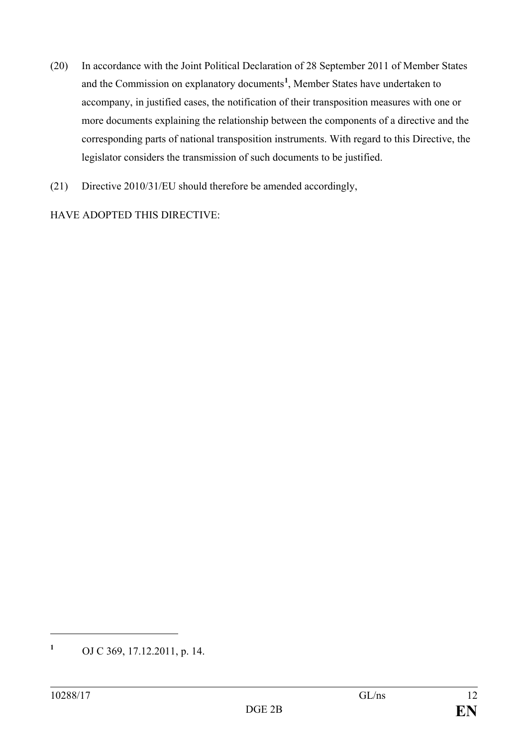- (20) In accordance with the Joint Political Declaration of 28 September 2011 of Member States and the Commission on explanatory documents**[1](#page-11-0)** , Member States have undertaken to accompany, in justified cases, the notification of their transposition measures with one or more documents explaining the relationship between the components of a directive and the corresponding parts of national transposition instruments. With regard to this Directive, the legislator considers the transmission of such documents to be justified.
- (21) Directive 2010/31/EU should therefore be amended accordingly,

HAVE ADOPTED THIS DIRECTIVE:

<span id="page-11-0"></span>**<sup>1</sup>** OJ C 369, 17.12.2011, p. 14.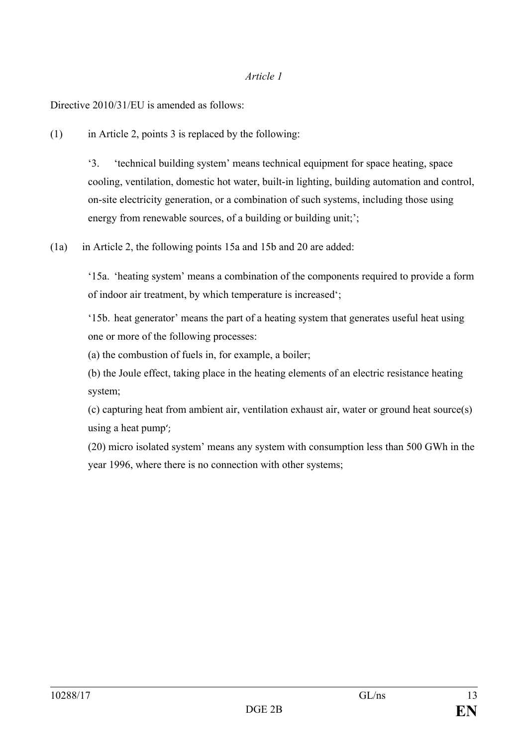#### *Article 1*

Directive 2010/31/EU is amended as follows:

(1) in Article 2, points 3 is replaced by the following:

'3. 'technical building system' means technical equipment for space heating, space cooling, ventilation, domestic hot water, built-in lighting, building automation and control, on-site electricity generation, or a combination of such systems, including those using energy from renewable sources, of a building or building unit;';

(1a) in Article 2, the following points 15a and 15b and 20 are added:

'15a. 'heating system' means a combination of the components required to provide a form of indoor air treatment, by which temperature is increased';

'15b. heat generator' means the part of a heating system that generates useful heat using one or more of the following processes:

(a) the combustion of fuels in, for example, a boiler;

(b) the Joule effect, taking place in the heating elements of an electric resistance heating system;

(c) capturing heat from ambient air, ventilation exhaust air, water or ground heat source(s) using a heat pump';

(20) micro isolated system' means any system with consumption less than 500 GWh in the year 1996, where there is no connection with other systems;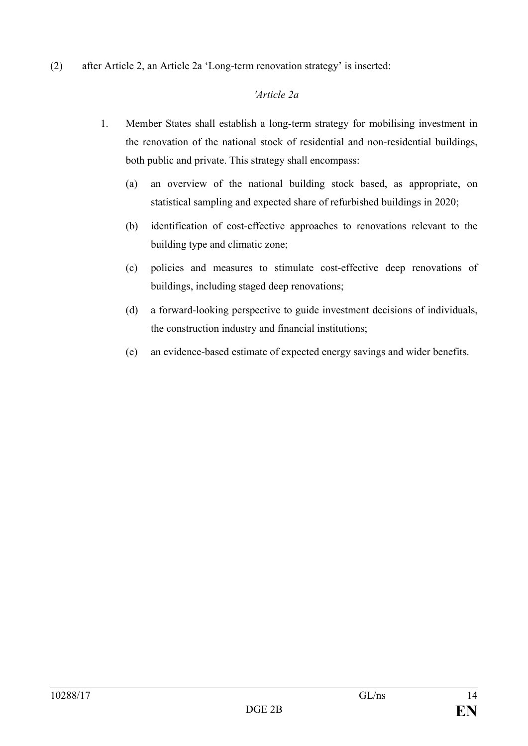(2) after Article 2, an Article 2a 'Long-term renovation strategy' is inserted:

# *'Article 2a*

- 1. Member States shall establish a long-term strategy for mobilising investment in the renovation of the national stock of residential and non-residential buildings, both public and private. This strategy shall encompass:
	- (a) an overview of the national building stock based, as appropriate, on statistical sampling and expected share of refurbished buildings in 2020;
	- (b) identification of cost-effective approaches to renovations relevant to the building type and climatic zone;
	- (c) policies and measures to stimulate cost-effective deep renovations of buildings, including staged deep renovations;
	- (d) a forward-looking perspective to guide investment decisions of individuals, the construction industry and financial institutions;
	- (e) an evidence-based estimate of expected energy savings and wider benefits.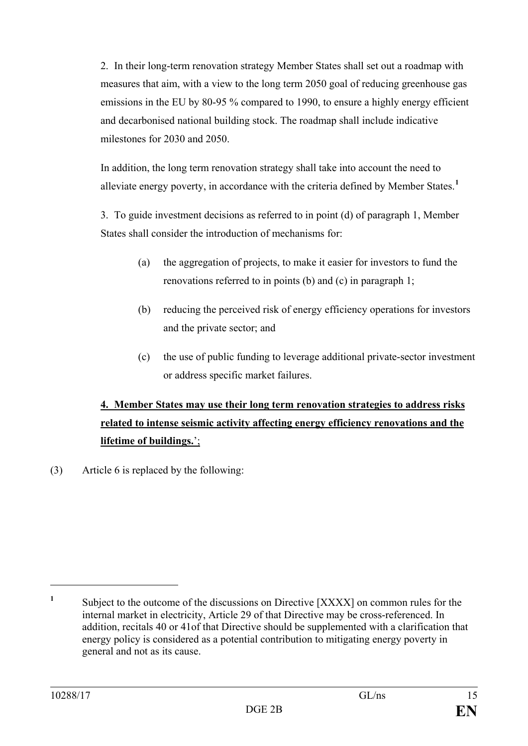2. In their long-term renovation strategy Member States shall set out a roadmap with measures that aim, with a view to the long term 2050 goal of reducing greenhouse gas emissions in the EU by 80-95 % compared to 1990, to ensure a highly energy efficient and decarbonised national building stock. The roadmap shall include indicative milestones for 2030 and 2050.

In addition, the long term renovation strategy shall take into account the need to alleviate energy poverty, in accordance with the criteria defined by Member States. **[1](#page-14-0)**

3. To guide investment decisions as referred to in point (d) of paragraph 1, Member States shall consider the introduction of mechanisms for:

- (a) the aggregation of projects, to make it easier for investors to fund the renovations referred to in points (b) and (c) in paragraph 1;
- (b) reducing the perceived risk of energy efficiency operations for investors and the private sector; and
- (c) the use of public funding to leverage additional private-sector investment or address specific market failures.

# **4. Member States may use their long term renovation strategies to address risks related to intense seismic activity affecting energy efficiency renovations and the lifetime of buildings.**';

(3) Article 6 is replaced by the following:

<span id="page-14-0"></span><sup>&</sup>lt;sup>1</sup> Subject to the outcome of the discussions on Directive [XXXX] on common rules for the internal market in electricity, Article 29 of that Directive may be cross-referenced. In addition, recitals 40 or 41of that Directive should be supplemented with a clarification that energy policy is considered as a potential contribution to mitigating energy poverty in general and not as its cause.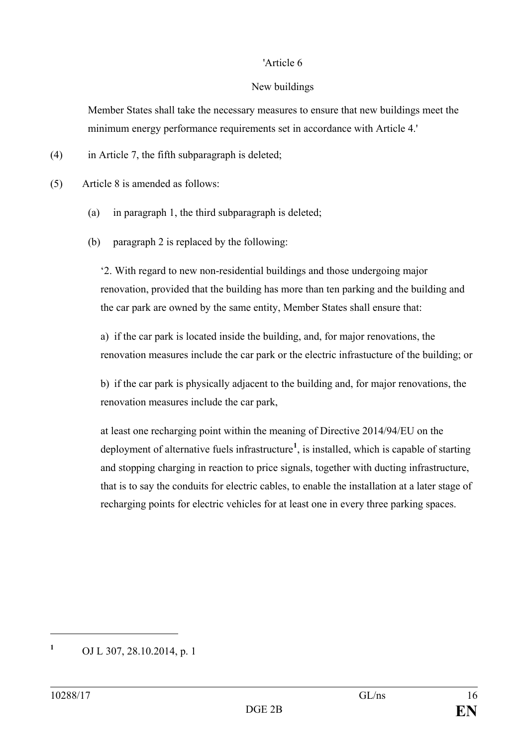### 'Article 6

### New buildings

Member States shall take the necessary measures to ensure that new buildings meet the minimum energy performance requirements set in accordance with Article 4.'

(4) in Article 7, the fifth subparagraph is deleted;

(5) Article 8 is amended as follows:

- (a) in paragraph 1, the third subparagraph is deleted;
- (b) paragraph 2 is replaced by the following:

'2. With regard to new non-residential buildings and those undergoing major renovation, provided that the building has more than ten parking and the building and the car park are owned by the same entity, Member States shall ensure that:

a) if the car park is located inside the building, and, for major renovations, the renovation measures include the car park or the electric infrastucture of the building; or

b) if the car park is physically adjacent to the building and, for major renovations, the renovation measures include the car park,

at least one recharging point within the meaning of Directive 2014/94/EU on the deployment of alternative fuels infrastructure**[1](#page-15-0)** , is installed, which is capable of starting and stopping charging in reaction to price signals, together with ducting infrastructure, that is to say the conduits for electric cables, to enable the installation at a later stage of recharging points for electric vehicles for at least one in every three parking spaces.

<span id="page-15-0"></span>**<sup>1</sup>** OJ L 307, 28.10.2014, p. 1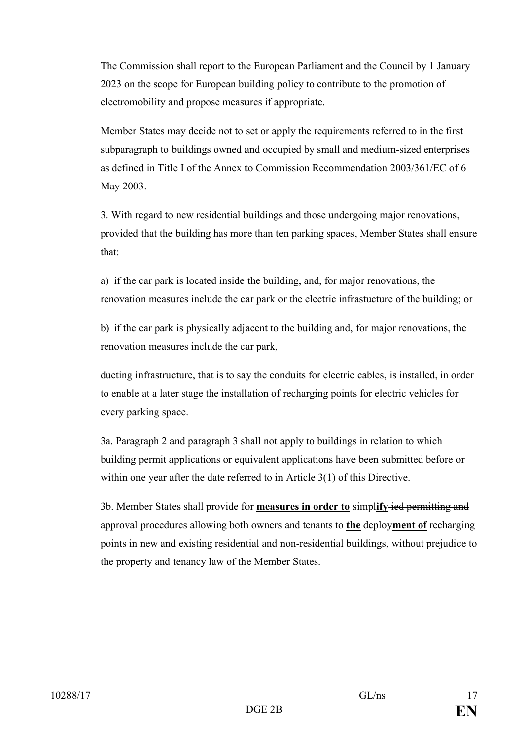The Commission shall report to the European Parliament and the Council by 1 January 2023 on the scope for European building policy to contribute to the promotion of electromobility and propose measures if appropriate.

Member States may decide not to set or apply the requirements referred to in the first subparagraph to buildings owned and occupied by small and medium-sized enterprises as defined in Title I of the Annex to Commission Recommendation 2003/361/EC of 6 May 2003.

3. With regard to new residential buildings and those undergoing major renovations, provided that the building has more than ten parking spaces, Member States shall ensure that:

a) if the car park is located inside the building, and, for major renovations, the renovation measures include the car park or the electric infrastucture of the building; or

b) if the car park is physically adjacent to the building and, for major renovations, the renovation measures include the car park,

ducting infrastructure, that is to say the conduits for electric cables, is installed, in order to enable at a later stage the installation of recharging points for electric vehicles for every parking space.

3a. Paragraph 2 and paragraph 3 shall not apply to buildings in relation to which building permit applications or equivalent applications have been submitted before or within one year after the date referred to in Article 3(1) of this Directive.

3b. Member States shall provide for **measures in order to** simpl**ify** ied permitting and approval procedures allowing both owners and tenants to **the** deploy**ment of** recharging points in new and existing residential and non-residential buildings, without prejudice to the property and tenancy law of the Member States.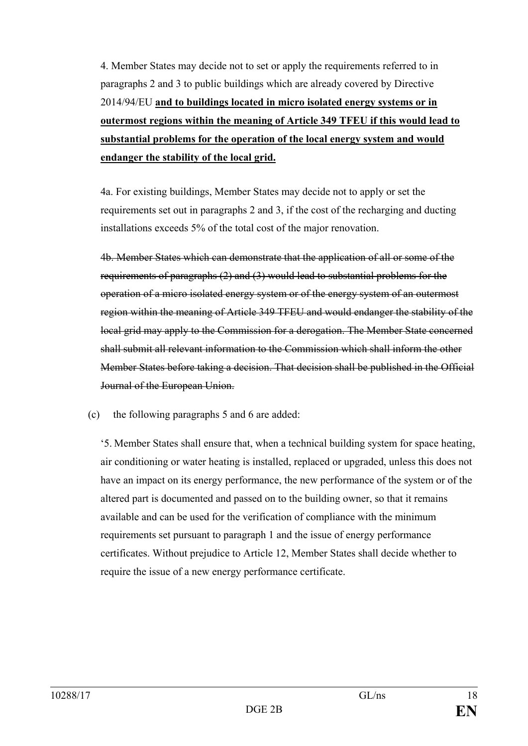4. Member States may decide not to set or apply the requirements referred to in paragraphs 2 and 3 to public buildings which are already covered by Directive 2014/94/EU **and to buildings located in micro isolated energy systems or in outermost regions within the meaning of Article 349 TFEU if this would lead to substantial problems for the operation of the local energy system and would endanger the stability of the local grid.**

4a. For existing buildings, Member States may decide not to apply or set the requirements set out in paragraphs 2 and 3, if the cost of the recharging and ducting installations exceeds 5% of the total cost of the major renovation.

4b. Member States which can demonstrate that the application of all or some of the requirements of paragraphs (2) and (3) would lead to substantial problems for the operation of a micro isolated energy system or of the energy system of an outermost region within the meaning of Article 349 TFEU and would endanger the stability of the local grid may apply to the Commission for a derogation. The Member State concerned shall submit all relevant information to the Commission which shall inform the other Member States before taking a decision. That decision shall be published in the Official Journal of the European Union.

(c) the following paragraphs 5 and 6 are added:

'5. Member States shall ensure that, when a technical building system for space heating, air conditioning or water heating is installed, replaced or upgraded, unless this does not have an impact on its energy performance, the new performance of the system or of the altered part is documented and passed on to the building owner, so that it remains available and can be used for the verification of compliance with the minimum requirements set pursuant to paragraph 1 and the issue of energy performance certificates. Without prejudice to Article 12, Member States shall decide whether to require the issue of a new energy performance certificate.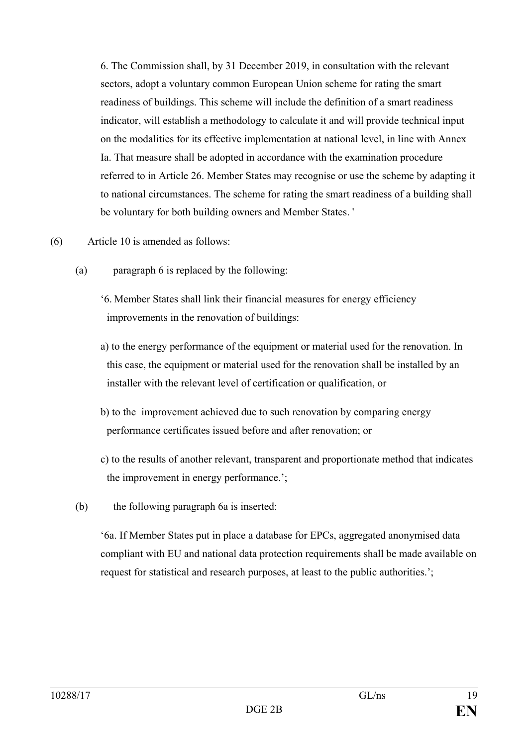6. The Commission shall, by 31 December 2019, in consultation with the relevant sectors, adopt a voluntary common European Union scheme for rating the smart readiness of buildings. This scheme will include the definition of a smart readiness indicator, will establish a methodology to calculate it and will provide technical input on the modalities for its effective implementation at national level, in line with Annex Ia. That measure shall be adopted in accordance with the examination procedure referred to in Article 26. Member States may recognise or use the scheme by adapting it to national circumstances. The scheme for rating the smart readiness of a building shall be voluntary for both building owners and Member States. '

- (6) Article 10 is amended as follows:
	- (a) paragraph 6 is replaced by the following:
		- '6. Member States shall link their financial measures for energy efficiency improvements in the renovation of buildings:
		- a) to the energy performance of the equipment or material used for the renovation. In this case, the equipment or material used for the renovation shall be installed by an installer with the relevant level of certification or qualification, or
		- b) to the improvement achieved due to such renovation by comparing energy performance certificates issued before and after renovation; or
		- c) to the results of another relevant, transparent and proportionate method that indicates the improvement in energy performance.';
	- (b) the following paragraph 6a is inserted:

'6a. If Member States put in place a database for EPCs, aggregated anonymised data compliant with EU and national data protection requirements shall be made available on request for statistical and research purposes, at least to the public authorities.';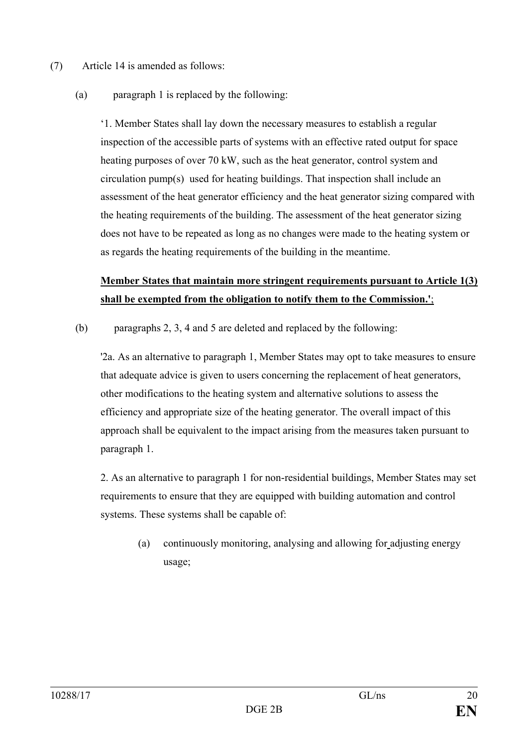- (7) Article 14 is amended as follows:
	- (a) paragraph 1 is replaced by the following:

'1. Member States shall lay down the necessary measures to establish a regular inspection of the accessible parts of systems with an effective rated output for space heating purposes of over 70 kW, such as the heat generator, control system and circulation pump(s) used for heating buildings. That inspection shall include an assessment of the heat generator efficiency and the heat generator sizing compared with the heating requirements of the building. The assessment of the heat generator sizing does not have to be repeated as long as no changes were made to the heating system or as regards the heating requirements of the building in the meantime.

# **Member States that maintain more stringent requirements pursuant to Article 1(3) shall be exempted from the obligation to notify them to the Commission.'**;

(b) paragraphs 2, 3, 4 and 5 are deleted and replaced by the following:

'2a. As an alternative to paragraph 1, Member States may opt to take measures to ensure that adequate advice is given to users concerning the replacement of heat generators, other modifications to the heating system and alternative solutions to assess the efficiency and appropriate size of the heating generator. The overall impact of this approach shall be equivalent to the impact arising from the measures taken pursuant to paragraph 1.

2. As an alternative to paragraph 1 for non-residential buildings, Member States may set requirements to ensure that they are equipped with building automation and control systems. These systems shall be capable of:

(a) continuously monitoring, analysing and allowing for adjusting energy usage;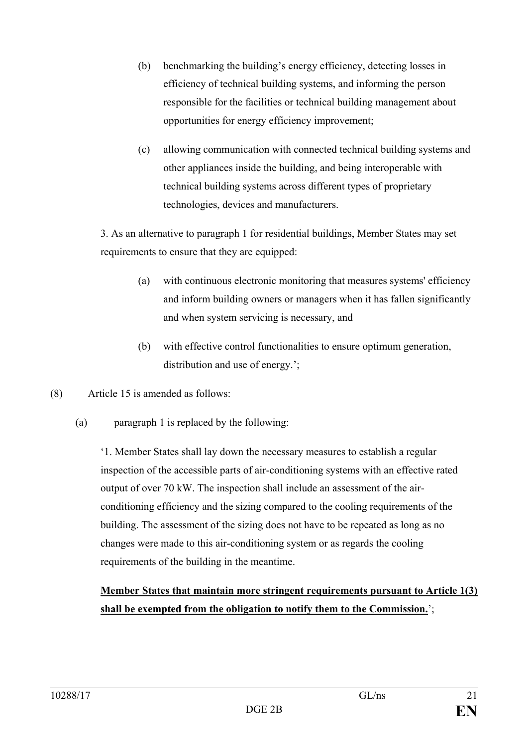- (b) benchmarking the building's energy efficiency, detecting losses in efficiency of technical building systems, and informing the person responsible for the facilities or technical building management about opportunities for energy efficiency improvement;
- (c) allowing communication with connected technical building systems and other appliances inside the building, and being interoperable with technical building systems across different types of proprietary technologies, devices and manufacturers.

3. As an alternative to paragraph 1 for residential buildings, Member States may set requirements to ensure that they are equipped:

- (a) with continuous electronic monitoring that measures systems' efficiency and inform building owners or managers when it has fallen significantly and when system servicing is necessary, and
- (b) with effective control functionalities to ensure optimum generation, distribution and use of energy.';
- (8) Article 15 is amended as follows:
	- (a) paragraph 1 is replaced by the following:

'1. Member States shall lay down the necessary measures to establish a regular inspection of the accessible parts of air-conditioning systems with an effective rated output of over 70 kW. The inspection shall include an assessment of the airconditioning efficiency and the sizing compared to the cooling requirements of the building. The assessment of the sizing does not have to be repeated as long as no changes were made to this air-conditioning system or as regards the cooling requirements of the building in the meantime.

# **Member States that maintain more stringent requirements pursuant to Article 1(3) shall be exempted from the obligation to notify them to the Commission.**';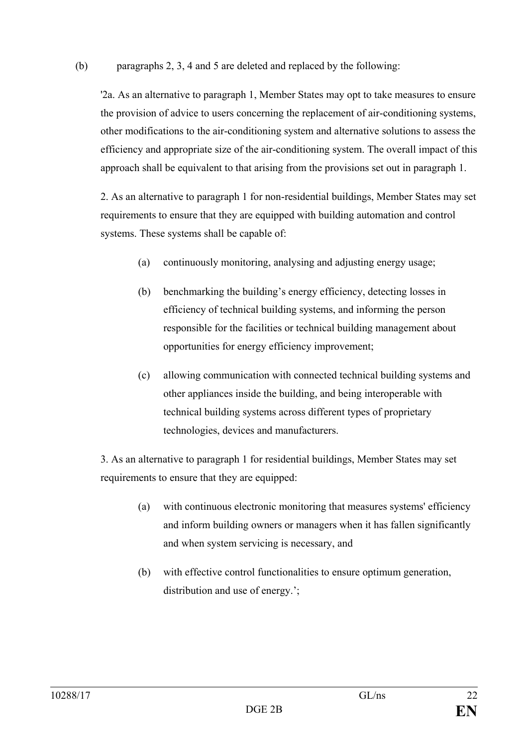### (b) paragraphs 2, 3, 4 and 5 are deleted and replaced by the following:

'2a. As an alternative to paragraph 1, Member States may opt to take measures to ensure the provision of advice to users concerning the replacement of air-conditioning systems, other modifications to the air-conditioning system and alternative solutions to assess the efficiency and appropriate size of the air-conditioning system. The overall impact of this approach shall be equivalent to that arising from the provisions set out in paragraph 1.

2. As an alternative to paragraph 1 for non-residential buildings, Member States may set requirements to ensure that they are equipped with building automation and control systems. These systems shall be capable of:

- (a) continuously monitoring, analysing and adjusting energy usage;
- (b) benchmarking the building's energy efficiency, detecting losses in efficiency of technical building systems, and informing the person responsible for the facilities or technical building management about opportunities for energy efficiency improvement;
- (c) allowing communication with connected technical building systems and other appliances inside the building, and being interoperable with technical building systems across different types of proprietary technologies, devices and manufacturers.

3. As an alternative to paragraph 1 for residential buildings, Member States may set requirements to ensure that they are equipped:

- (a) with continuous electronic monitoring that measures systems' efficiency and inform building owners or managers when it has fallen significantly and when system servicing is necessary, and
- (b) with effective control functionalities to ensure optimum generation, distribution and use of energy.';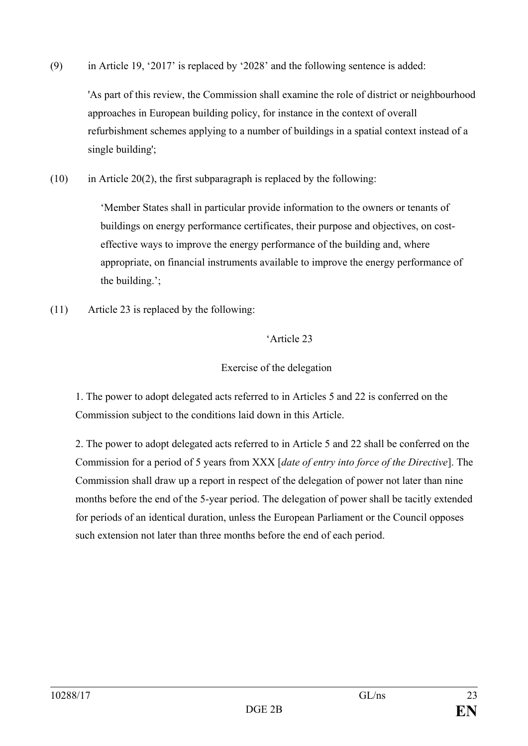(9) in Article 19, '2017' is replaced by '2028' and the following sentence is added:

'As part of this review, the Commission shall examine the role of district or neighbourhood approaches in European building policy, for instance in the context of overall refurbishment schemes applying to a number of buildings in a spatial context instead of a single building';

 $(10)$  in Article 20(2), the first subparagraph is replaced by the following:

'Member States shall in particular provide information to the owners or tenants of buildings on energy performance certificates, their purpose and objectives, on costeffective ways to improve the energy performance of the building and, where appropriate, on financial instruments available to improve the energy performance of the building.';

(11) Article 23 is replaced by the following:

## 'Article 23

## Exercise of the delegation

1. The power to adopt delegated acts referred to in Articles 5 and 22 is conferred on the Commission subject to the conditions laid down in this Article.

2. The power to adopt delegated acts referred to in Article 5 and 22 shall be conferred on the Commission for a period of 5 years from XXX [*date of entry into force of the Directive*]. The Commission shall draw up a report in respect of the delegation of power not later than nine months before the end of the 5-year period. The delegation of power shall be tacitly extended for periods of an identical duration, unless the European Parliament or the Council opposes such extension not later than three months before the end of each period.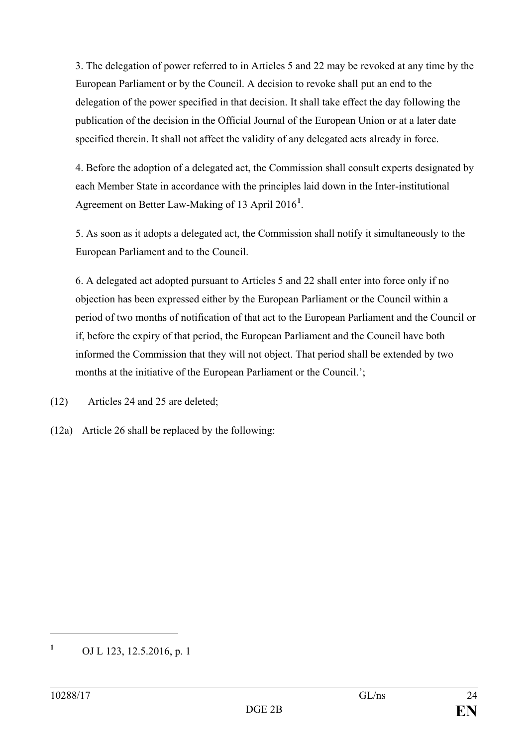3. The delegation of power referred to in Articles 5 and 22 may be revoked at any time by the European Parliament or by the Council. A decision to revoke shall put an end to the delegation of the power specified in that decision. It shall take effect the day following the publication of the decision in the Official Journal of the European Union or at a later date specified therein. It shall not affect the validity of any delegated acts already in force.

4. Before the adoption of a delegated act, the Commission shall consult experts designated by each Member State in accordance with the principles laid down in the Inter-institutional Agreement on Better Law-Making of 13 April 2016**[1](#page-23-0)** .

5. As soon as it adopts a delegated act, the Commission shall notify it simultaneously to the European Parliament and to the Council.

6. A delegated act adopted pursuant to Articles 5 and 22 shall enter into force only if no objection has been expressed either by the European Parliament or the Council within a period of two months of notification of that act to the European Parliament and the Council or if, before the expiry of that period, the European Parliament and the Council have both informed the Commission that they will not object. That period shall be extended by two months at the initiative of the European Parliament or the Council.';

(12) Articles 24 and 25 are deleted;

(12a) Article 26 shall be replaced by the following:

<span id="page-23-0"></span>**<sup>1</sup>** OJ L 123, 12.5.2016, p. 1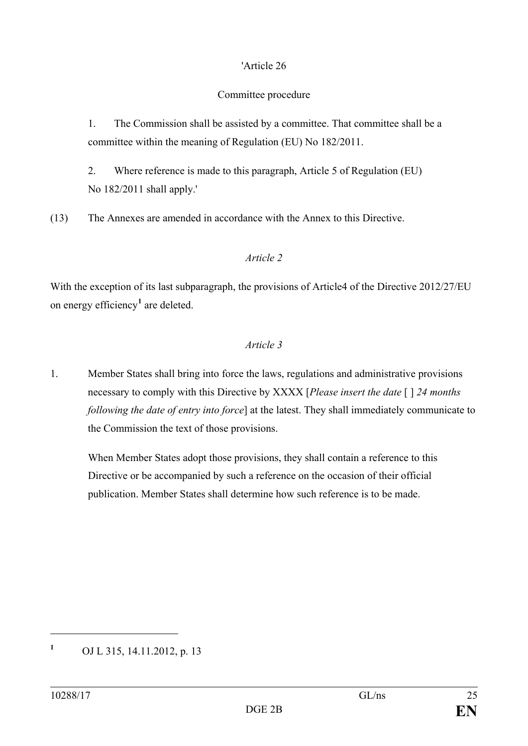### 'Article 26

# Committee procedure

1. The Commission shall be assisted by a committee. That committee shall be a committee within the meaning of Regulation (EU) No 182/2011.

2. Where reference is made to this paragraph, Article 5 of Regulation (EU) No 182/2011 shall apply.'

(13) The Annexes are amended in accordance with the Annex to this Directive.

## *Article 2*

With the exception of its last subparagraph, the provisions of Article4 of the Directive 2012/27/EU on energy efficiency**[1](#page-24-0)** are deleted.

# *Article 3*

1. Member States shall bring into force the laws, regulations and administrative provisions necessary to comply with this Directive by XXXX [*Please insert the date* [ ] *24 months following the date of entry into force*] at the latest. They shall immediately communicate to the Commission the text of those provisions.

When Member States adopt those provisions, they shall contain a reference to this Directive or be accompanied by such a reference on the occasion of their official publication. Member States shall determine how such reference is to be made.

<span id="page-24-0"></span>**<sup>1</sup>** OJ L 315, 14.11.2012, p. 13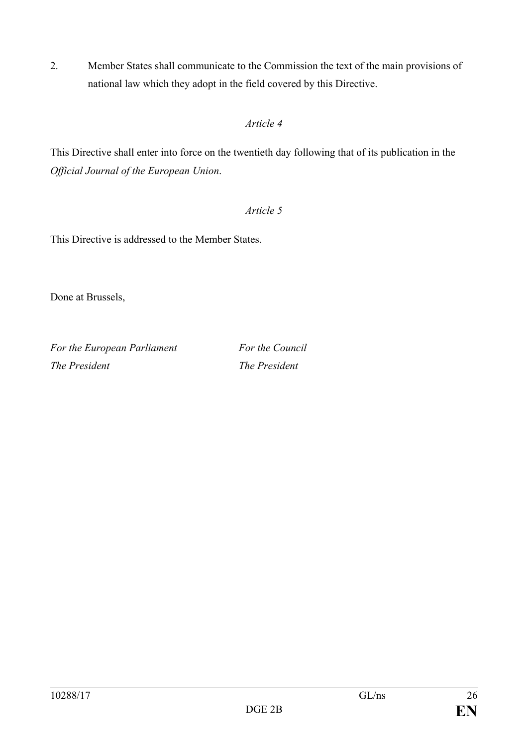2. Member States shall communicate to the Commission the text of the main provisions of national law which they adopt in the field covered by this Directive.

# *Article 4*

This Directive shall enter into force on the twentieth day following that of its publication in the *Official Journal of the European Union*.

# *Article 5*

This Directive is addressed to the Member States.

Done at Brussels,

*For the European Parliament For the Council The President The President*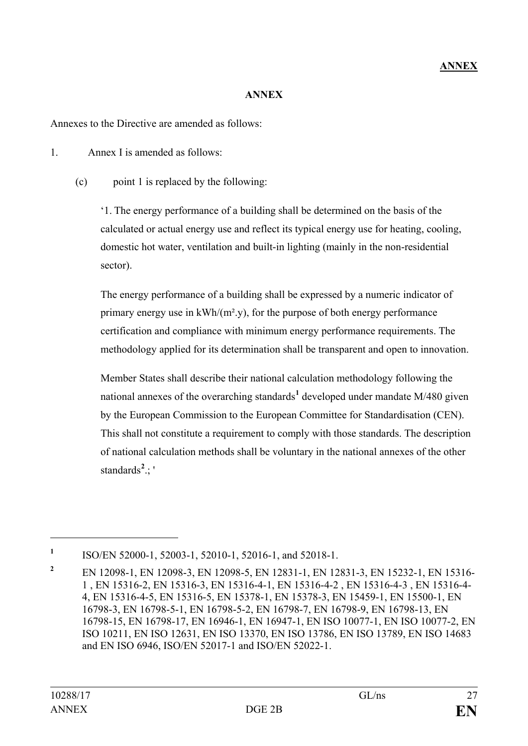### **ANNEX**

Annexes to the Directive are amended as follows:

1. Annex I is amended as follows:

(c) point 1 is replaced by the following:

'1. The energy performance of a building shall be determined on the basis of the calculated or actual energy use and reflect its typical energy use for heating, cooling, domestic hot water, ventilation and built-in lighting (mainly in the non-residential sector).

The energy performance of a building shall be expressed by a numeric indicator of primary energy use in  $kWh/(m^2 y)$ , for the purpose of both energy performance certification and compliance with minimum energy performance requirements. The methodology applied for its determination shall be transparent and open to innovation.

Member States shall describe their national calculation methodology following the national annexes of the overarching standards<sup>[1](#page-26-0)</sup> developed under mandate M/480 given by the European Commission to the European Committee for Standardisation (CEN). This shall not constitute a requirement to comply with those standards. The description of national calculation methods shall be voluntary in the national annexes of the other standards**[2](#page-26-1)** .; '

<span id="page-26-0"></span>**<sup>1</sup>** ISO/EN 52000-1, 52003-1, 52010-1, 52016-1, and 52018-1.

<span id="page-26-1"></span>**<sup>2</sup>** EN 12098-1, EN 12098-3, EN 12098-5, EN 12831-1, EN 12831-3, EN 15232-1, EN 15316- 1 , EN 15316-2, EN 15316-3, EN 15316-4-1, EN 15316-4-2 , EN 15316-4-3 , EN 15316-4- 4, EN 15316-4-5, EN 15316-5, EN 15378-1, EN 15378-3, EN 15459-1, EN 15500-1, EN 16798-3, EN 16798-5-1, EN 16798-5-2, EN 16798-7, EN 16798-9, EN 16798-13, EN 16798-15, EN 16798-17, EN 16946-1, EN 16947-1, EN ISO 10077-1, EN ISO 10077-2, EN ISO 10211, EN ISO 12631, EN ISO 13370, EN ISO 13786, EN ISO 13789, EN ISO 14683 and EN ISO 6946, ISO/EN 52017-1 and ISO/EN 52022-1.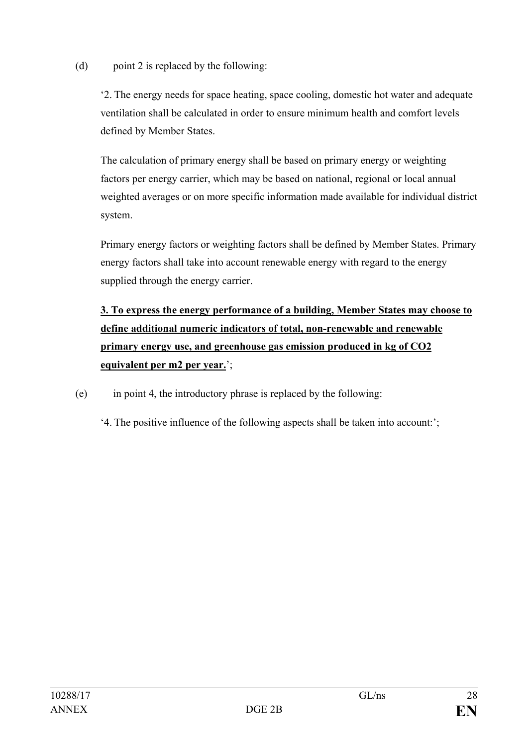(d) point 2 is replaced by the following:

'2. The energy needs for space heating, space cooling, domestic hot water and adequate ventilation shall be calculated in order to ensure minimum health and comfort levels defined by Member States.

The calculation of primary energy shall be based on primary energy or weighting factors per energy carrier, which may be based on national, regional or local annual weighted averages or on more specific information made available for individual district system.

Primary energy factors or weighting factors shall be defined by Member States. Primary energy factors shall take into account renewable energy with regard to the energy supplied through the energy carrier.

**3. To express the energy performance of a building, Member States may choose to define additional numeric indicators of total, non-renewable and renewable primary energy use, and greenhouse gas emission produced in kg of CO2 equivalent per m2 per year.**';

(e) in point 4, the introductory phrase is replaced by the following:

'4. The positive influence of the following aspects shall be taken into account:';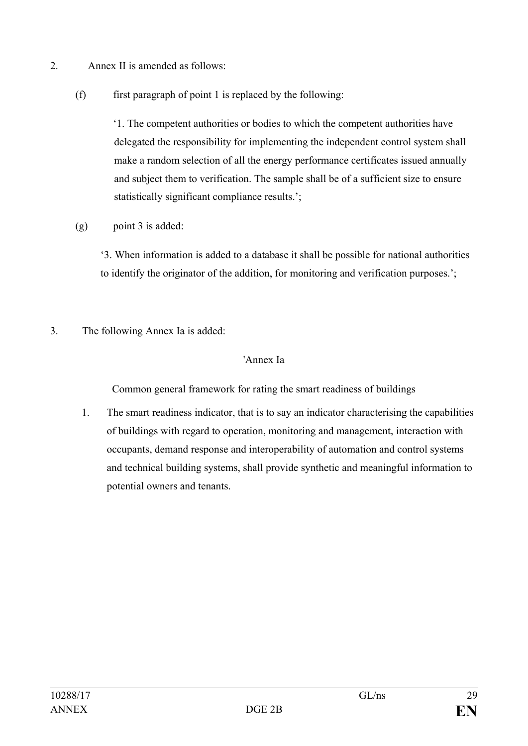- 2. Annex II is amended as follows:
	- $(f)$  first paragraph of point 1 is replaced by the following:

'1. The competent authorities or bodies to which the competent authorities have delegated the responsibility for implementing the independent control system shall make a random selection of all the energy performance certificates issued annually and subject them to verification. The sample shall be of a sufficient size to ensure statistically significant compliance results.';

(g) point 3 is added:

'3. When information is added to a database it shall be possible for national authorities to identify the originator of the addition, for monitoring and verification purposes.';

3. The following Annex Ia is added:

### 'Annex Ia

Common general framework for rating the smart readiness of buildings

1. The smart readiness indicator, that is to say an indicator characterising the capabilities of buildings with regard to operation, monitoring and management, interaction with occupants, demand response and interoperability of automation and control systems and technical building systems, shall provide synthetic and meaningful information to potential owners and tenants.